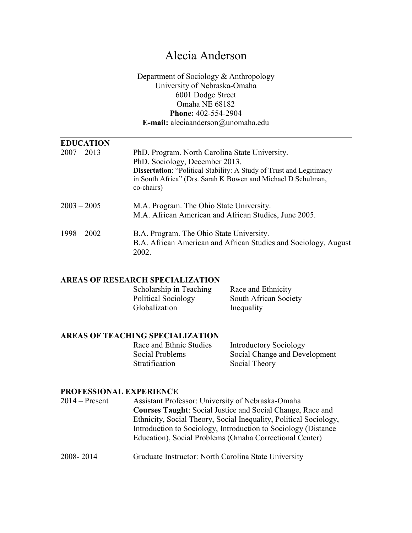## Alecia Anderson

Department of Sociology & Anthropology University of Nebraska-Omaha 6001 Dodge Street Omaha NE 68182 **Phone:** 402-554-2904 **E-mail:** aleciaanderson@unomaha.edu

| <b>EDUCATION</b> |                                                                                                   |
|------------------|---------------------------------------------------------------------------------------------------|
| $2007 - 2013$    | PhD. Program. North Carolina State University.                                                    |
|                  | PhD. Sociology, December 2013.                                                                    |
|                  | <b>Dissertation: "Political Stability: A Study of Trust and Legitimacy</b>                        |
|                  | in South Africa" (Drs. Sarah K Bowen and Michael D Schulman,<br>co-chairs)                        |
| $2003 - 2005$    |                                                                                                   |
|                  | M.A. Program. The Ohio State University.<br>M.A. African American and African Studies, June 2005. |
|                  |                                                                                                   |
| $1998 - 2002$    | B.A. Program. The Ohio State University.                                                          |
|                  | B.A. African American and African Studies and Sociology, August<br>2002.                          |

#### **AREAS OF RESEARCH SPECIALIZATION**

Scholarship in Teaching Race and Ethnicity<br>Political Sociology South African Soci South African Society Globalization Inequality

# **AREAS OF TEACHING SPECIALIZATION**

Stratification Social Theory

Introductory Sociology Social Problems Social Change and Development

#### **PROFESSIONAL EXPERIENCE**

| $2014 -$ Present | Assistant Professor: University of Nebraska-Omaha                 |
|------------------|-------------------------------------------------------------------|
|                  | <b>Courses Taught:</b> Social Justice and Social Change, Race and |
|                  | Ethnicity, Social Theory, Social Inequality, Political Sociology, |
|                  | Introduction to Sociology, Introduction to Sociology (Distance)   |
|                  | Education), Social Problems (Omaha Correctional Center)           |
|                  |                                                                   |

2008- 2014 Graduate Instructor: North Carolina State University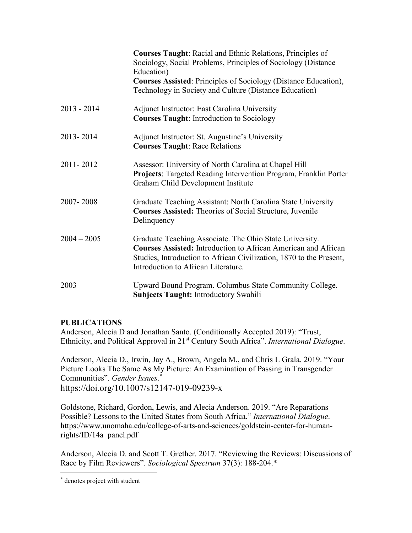|               | <b>Courses Taught:</b> Racial and Ethnic Relations, Principles of<br>Sociology, Social Problems, Principles of Sociology (Distance<br>Education)<br><b>Courses Assisted: Principles of Sociology (Distance Education),</b><br>Technology in Society and Culture (Distance Education) |
|---------------|--------------------------------------------------------------------------------------------------------------------------------------------------------------------------------------------------------------------------------------------------------------------------------------|
| $2013 - 2014$ | Adjunct Instructor: East Carolina University<br><b>Courses Taught: Introduction to Sociology</b>                                                                                                                                                                                     |
| 2013-2014     | Adjunct Instructor: St. Augustine's University<br><b>Courses Taught: Race Relations</b>                                                                                                                                                                                              |
| 2011-2012     | Assessor: University of North Carolina at Chapel Hill<br>Projects: Targeted Reading Intervention Program, Franklin Porter<br>Graham Child Development Institute                                                                                                                      |
| 2007-2008     | Graduate Teaching Assistant: North Carolina State University<br><b>Courses Assisted:</b> Theories of Social Structure, Juvenile<br>Delinquency                                                                                                                                       |
| $2004 - 2005$ | Graduate Teaching Associate. The Ohio State University.<br><b>Courses Assisted:</b> Introduction to African American and African<br>Studies, Introduction to African Civilization, 1870 to the Present,<br>Introduction to African Literature.                                       |
| 2003          | Upward Bound Program. Columbus State Community College.<br><b>Subjects Taught: Introductory Swahili</b>                                                                                                                                                                              |

### **PUBLICATIONS**

Anderson, Alecia D and Jonathan Santo. (Conditionally Accepted 2019): "Trust, Ethnicity, and Political Approval in 21st Century South Africa". *International Dialogue*.

Anderson, Alecia D., Irwin, Jay A., Brown, Angela M., and Chris L Grala. 2019. "Your Picture Looks The Same As My Picture: An Examination of Passing in Transgender Communities". *Gender Issues.*[\\*](#page-1-0) https://doi.org/10.1007/s12147-019-09239-x

Goldstone, Richard, Gordon, Lewis, and Alecia Anderson. 2019. "Are Reparations Possible? Lessons to the United States from South Africa." *International Dialogue*. https://www.unomaha.edu/college-of-arts-and-sciences/goldstein-center-for-humanrights/ID/14a\_panel.pdf

Anderson, Alecia D. and Scott T. Grether. 2017. "Reviewing the Reviews: Discussions of Race by Film Reviewers". *Sociological Spectrum* 37(3): 188-204.\*

<span id="page-1-0"></span> <sup>\*</sup> denotes project with student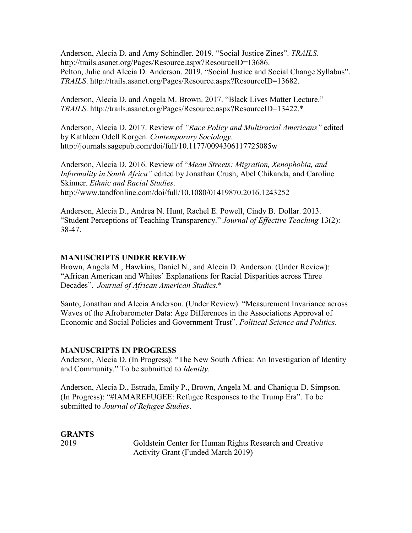Anderson, Alecia D. and Amy Schindler. 2019. "Social Justice Zines". *TRAILS*. http://trails.asanet.org/Pages/Resource.aspx?ResourceID=13686. Pelton, Julie and Alecia D. Anderson. 2019. "Social Justice and Social Change Syllabus". *TRAILS*. http://trails.asanet.org/Pages/Resource.aspx?ResourceID=13682.

Anderson, Alecia D. and Angela M. Brown. 2017. "Black Lives Matter Lecture." *TRAILS*. http://trails.asanet.org/Pages/Resource.aspx?ResourceID=13422.\*

Anderson, Alecia D. 2017. Review of *"Race Policy and Multiracial Americans"* edited by Kathleen Odell Korgen. *Contemporary Sociology*. http://journals.sagepub.com/doi/full/10.1177/0094306117725085w

Anderson, Alecia D. 2016. Review of "*Mean Streets: Migration, Xenophobia, and Informality in South Africa"* edited by Jonathan Crush, Abel Chikanda, and Caroline Skinner. *Ethnic and Racial Studies*. http://www.tandfonline.com/doi/full/10.1080/01419870.2016.1243252

Anderson, Alecia D., Andrea N. Hunt, Rachel E. Powell, Cindy B. Dollar. 2013. "Student Perceptions of Teaching Transparency." *Journal of Effective Teaching* 13(2): 38-47.

#### **MANUSCRIPTS UNDER REVIEW**

Brown, Angela M., Hawkins, Daniel N., and Alecia D. Anderson. (Under Review): "African American and Whites' Explanations for Racial Disparities across Three Decades". *Journal of African American Studies*.\*

Santo, Jonathan and Alecia Anderson. (Under Review). "Measurement Invariance across Waves of the Afrobarometer Data: Age Differences in the Associations Approval of Economic and Social Policies and Government Trust". *Political Science and Politics*.

#### **MANUSCRIPTS IN PROGRESS**

Anderson, Alecia D. (In Progress): "The New South Africa: An Investigation of Identity and Community." To be submitted to *Identity*.

Anderson, Alecia D., Estrada, Emily P., Brown, Angela M. and Chaniqua D. Simpson. (In Progress): "#IAMAREFUGEE: Refugee Responses to the Trump Era". To be submitted to *Journal of Refugee Studies*.

# **GRANTS**

2019 Goldstein Center for Human Rights Research and Creative Activity Grant (Funded March 2019)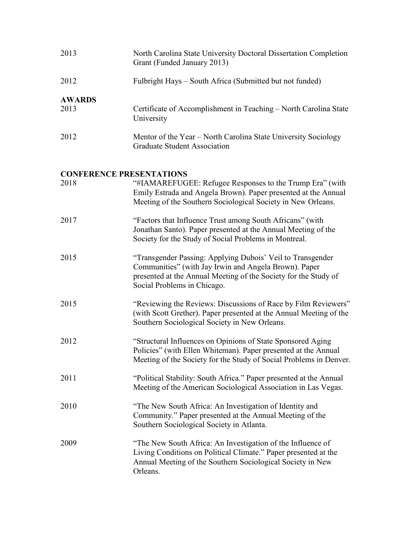| 2013                  | North Carolina State University Doctoral Dissertation Completion<br>Grant (Funded January 2013) |
|-----------------------|-------------------------------------------------------------------------------------------------|
| 2012                  | Fulbright Hays – South Africa (Submitted but not funded)                                        |
| <b>AWARDS</b><br>2013 | Certificate of Accomplishment in Teaching – North Carolina State<br>University                  |
| 2012                  | Mentor of the Year – North Carolina State University Sociology<br>Graduate Student Association  |

### **CONFERENCE PRESENTATIONS**

| 2018 | "#IAMAREFUGEE: Refugee Responses to the Trump Era" (with<br>Emily Estrada and Angela Brown). Paper presented at the Annual<br>Meeting of the Southern Sociological Society in New Orleans.                            |
|------|-----------------------------------------------------------------------------------------------------------------------------------------------------------------------------------------------------------------------|
| 2017 | "Factors that Influence Trust among South Africans" (with<br>Jonathan Santo). Paper presented at the Annual Meeting of the<br>Society for the Study of Social Problems in Montreal.                                   |
| 2015 | "Transgender Passing: Applying Dubois' Veil to Transgender<br>Communities" (with Jay Irwin and Angela Brown). Paper<br>presented at the Annual Meeting of the Society for the Study of<br>Social Problems in Chicago. |
| 2015 | "Reviewing the Reviews: Discussions of Race by Film Reviewers"<br>(with Scott Grether). Paper presented at the Annual Meeting of the<br>Southern Sociological Society in New Orleans.                                 |
| 2012 | "Structural Influences on Opinions of State Sponsored Aging<br>Policies" (with Ellen Whiteman). Paper presented at the Annual<br>Meeting of the Society for the Study of Social Problems in Denver.                   |
| 2011 | "Political Stability: South Africa." Paper presented at the Annual<br>Meeting of the American Sociological Association in Las Vegas.                                                                                  |
| 2010 | "The New South Africa: An Investigation of Identity and<br>Community." Paper presented at the Annual Meeting of the<br>Southern Sociological Society in Atlanta.                                                      |
| 2009 | "The New South Africa: An Investigation of the Influence of<br>Living Conditions on Political Climate." Paper presented at the<br>Annual Meeting of the Southern Sociological Society in New<br>Orleans.              |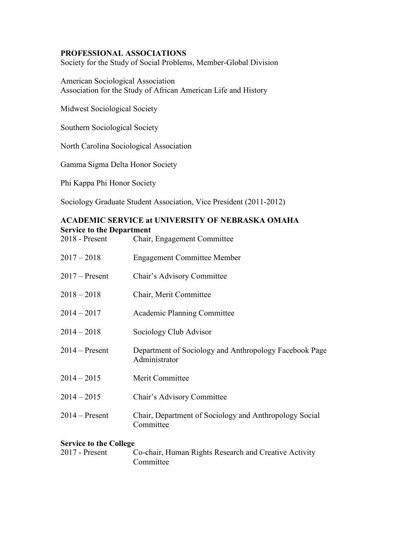#### **PROFESSIONAL ASSOCIATIONS**

Society for the Study of Social Problems, Member-Global Division

American Sociological Association Association for the Study of African American Life and History

Midwest Sociological Society

Southern Sociological Society

North Carolina Sociological Association

Gamma Sigma Delta Honor Society

Phi Kappa Phi Honor Society

Sociology Graduate Student Association, Vice President (2011-2012)

## **ACADEMIC SERVICE at UNIVERSITY OF NEBRASKA OMAHA Service to the Department**<br>2018 - Present Chair

| $2018$ - Present | Chair, Engagement Committee                                             |
|------------------|-------------------------------------------------------------------------|
| $2017 - 2018$    | <b>Engagement Committee Member</b>                                      |
| $2017$ – Present | Chair's Advisory Committee                                              |
| $2018 - 2018$    | Chair, Merit Committee                                                  |
| $2014 - 2017$    | Academic Planning Committee                                             |
| $2014 - 2018$    | Sociology Club Advisor                                                  |
| $2014 -$ Present | Department of Sociology and Anthropology Facebook Page<br>Administrator |
| $2014 - 2015$    | Merit Committee                                                         |
| $2014 - 2015$    | Chair's Advisory Committee                                              |
| $2014 -$ Present | Chair, Department of Sociology and Anthropology Social<br>Committee     |

#### **Service to the College**

| $2017$ - Present | Co-chair, Human Rights Research and Creative Activity |
|------------------|-------------------------------------------------------|
|                  | Committee                                             |